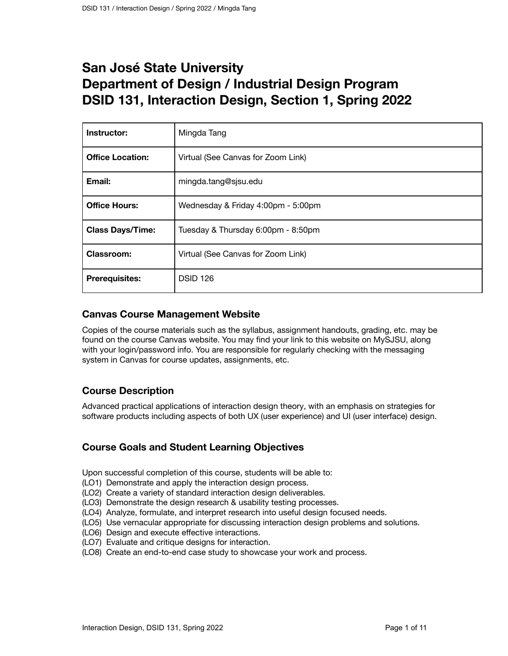# **San José State University Department of Design / Industrial Design Program DSID 131, Interaction Design, Section 1, Spring 2022**

| Instructor:             | Mingda Tang                        |
|-------------------------|------------------------------------|
| <b>Office Location:</b> | Virtual (See Canvas for Zoom Link) |
| Email:                  | mingda.tang@sjsu.edu               |
| <b>Office Hours:</b>    | Wednesday & Friday 4:00pm - 5:00pm |
| <b>Class Days/Time:</b> | Tuesday & Thursday 6:00pm - 8:50pm |
| <b>Classroom:</b>       | Virtual (See Canvas for Zoom Link) |
| <b>Prerequisites:</b>   | <b>DSID 126</b>                    |

# **Canvas Course Management Website**

Copies of the course materials such as the syllabus, assignment handouts, grading, etc. may be found on the course Canvas website. You may find your link to this website on MySJSU, along with your login/password info. You are responsible for regularly checking with the messaging system in Canvas for course updates, assignments, etc.

# **Course Description**

Advanced practical applications of interaction design theory, with an emphasis on strategies for software products including aspects of both UX (user experience) and UI (user interface) design.

# **Course Goals and Student Learning Objectives**

Upon successful completion of this course, students will be able to:

- (LO1) Demonstrate and apply the interaction design process.
- (LO2) Create a variety of standard interaction design deliverables.
- (LO3) Demonstrate the design research & usability testing processes.
- (LO4) Analyze, formulate, and interpret research into useful design focused needs.
- (LO5) Use vernacular appropriate for discussing interaction design problems and solutions.
- (LO6) Design and execute effective interactions.
- (LO7) Evaluate and critique designs for interaction.
- (LO8) Create an end-to-end case study to showcase your work and process.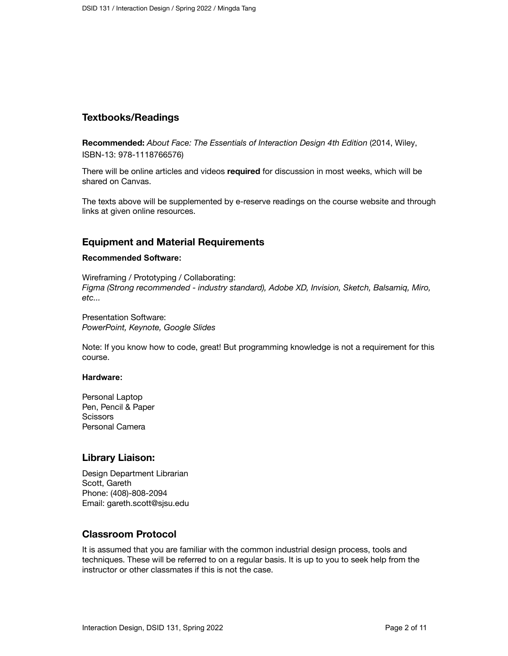## **Textbooks/Readings**

**Recommended:** *About Face: The Essentials of Interaction Design 4th Edition* (2014, Wiley, ISBN-13: 978-1118766576)

There will be online articles and videos **required** for discussion in most weeks, which will be shared on Canvas.

The texts above will be supplemented by e-reserve readings on the course website and through links at given online resources.

## **Equipment and Material Requirements**

#### **Recommended Software:**

Wireframing / Prototyping / Collaborating: *Figma (Strong recommended - industry standard), Adobe XD, Invision, Sketch, Balsamiq, Miro, etc...*

Presentation Software: *PowerPoint, Keynote, Google Slides*

Note: If you know how to code, great! But programming knowledge is not a requirement for this course.

#### **Hardware:**

Personal Laptop Pen, Pencil & Paper **Scissors** Personal Camera

## **Library Liaison:**

Design Department Librarian Scott, Gareth Phone: (408)-808-2094 Email: gareth.scott@sjsu.edu

#### **Classroom Protocol**

It is assumed that you are familiar with the common industrial design process, tools and techniques. These will be referred to on a regular basis. It is up to you to seek help from the instructor or other classmates if this is not the case.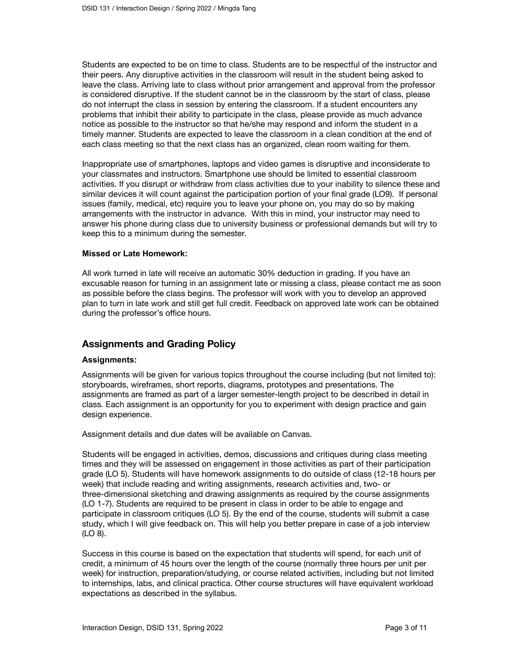Students are expected to be on time to class. Students are to be respectful of the instructor and their peers. Any disruptive activities in the classroom will result in the student being asked to leave the class. Arriving late to class without prior arrangement and approval from the professor is considered disruptive. If the student cannot be in the classroom by the start of class, please do not interrupt the class in session by entering the classroom. If a student encounters any problems that inhibit their ability to participate in the class, please provide as much advance notice as possible to the instructor so that he/she may respond and inform the student in a timely manner. Students are expected to leave the classroom in a clean condition at the end of each class meeting so that the next class has an organized, clean room waiting for them.

Inappropriate use of smartphones, laptops and video games is disruptive and inconsiderate to your classmates and instructors. Smartphone use should be limited to essential classroom activities. If you disrupt or withdraw from class activities due to your inability to silence these and similar devices it will count against the participation portion of your final grade (LO9). If personal issues (family, medical, etc) require you to leave your phone on, you may do so by making arrangements with the instructor in advance. With this in mind, your instructor may need to answer his phone during class due to university business or professional demands but will try to keep this to a minimum during the semester.

#### **Missed or Late Homework:**

All work turned in late will receive an automatic 30% deduction in grading. If you have an excusable reason for turning in an assignment late or missing a class, please contact me as soon as possible before the class begins. The professor will work with you to develop an approved plan to turn in late work and still get full credit. Feedback on approved late work can be obtained during the professor's office hours.

## **Assignments and Grading Policy**

#### **Assignments:**

Assignments will be given for various topics throughout the course including (but not limited to): storyboards, wireframes, short reports, diagrams, prototypes and presentations. The assignments are framed as part of a larger semester-length project to be described in detail in class. Each assignment is an opportunity for you to experiment with design practice and gain design experience.

Assignment details and due dates will be available on Canvas.

Students will be engaged in activities, demos, discussions and critiques during class meeting times and they will be assessed on engagement in those activities as part of their participation grade (LO 5). Students will have homework assignments to do outside of class (12-18 hours per week) that include reading and writing assignments, research activities and, two- or three-dimensional sketching and drawing assignments as required by the course assignments (LO 1-7). Students are required to be present in class in order to be able to engage and participate in classroom critiques (LO 5). By the end of the course, students will submit a case study, which I will give feedback on. This will help you better prepare in case of a job interview (LO 8).

Success in this course is based on the expectation that students will spend, for each unit of credit, a minimum of 45 hours over the length of the course (normally three hours per unit per week) for instruction, preparation/studying, or course related activities, including but not limited to internships, labs, and clinical practica. Other course structures will have equivalent workload expectations as described in the syllabus.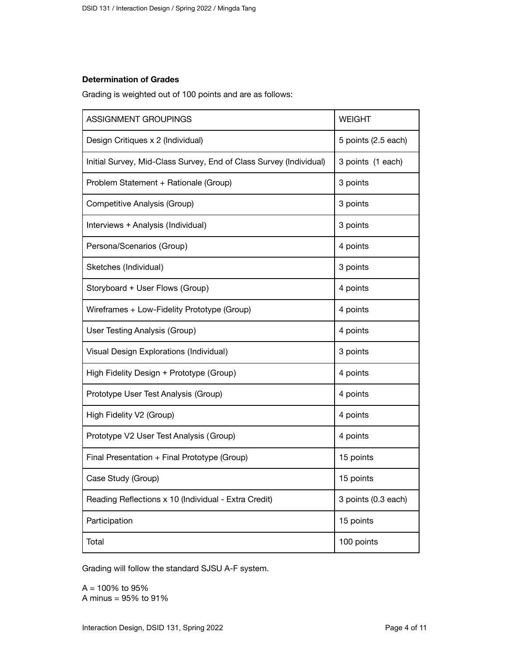## **Determination of Grades**

Grading is weighted out of 100 points and are as follows:

| ASSIGNMENT GROUPINGS                                               | <b>WEIGHT</b>       |
|--------------------------------------------------------------------|---------------------|
| Design Critiques x 2 (Individual)                                  | 5 points (2.5 each) |
| Initial Survey, Mid-Class Survey, End of Class Survey (Individual) | 3 points (1 each)   |
| Problem Statement + Rationale (Group)                              | 3 points            |
| Competitive Analysis (Group)                                       | 3 points            |
| Interviews + Analysis (Individual)                                 | 3 points            |
| Persona/Scenarios (Group)                                          | 4 points            |
| Sketches (Individual)                                              | 3 points            |
| Storyboard + User Flows (Group)                                    | 4 points            |
| Wireframes + Low-Fidelity Prototype (Group)                        | 4 points            |
| User Testing Analysis (Group)                                      | 4 points            |
| Visual Design Explorations (Individual)                            | 3 points            |
| High Fidelity Design + Prototype (Group)                           | 4 points            |
| Prototype User Test Analysis (Group)                               | 4 points            |
| High Fidelity V2 (Group)                                           | 4 points            |
| Prototype V2 User Test Analysis (Group)                            | 4 points            |
| Final Presentation + Final Prototype (Group)                       | 15 points           |
| Case Study (Group)                                                 | 15 points           |
| Reading Reflections x 10 (Individual - Extra Credit)               | 3 points (0.3 each) |
| Participation                                                      | 15 points           |
| Total                                                              | 100 points          |

Grading will follow the standard SJSU A-F system.

 $A = 100\%$  to 95% A minus = 95% to 91%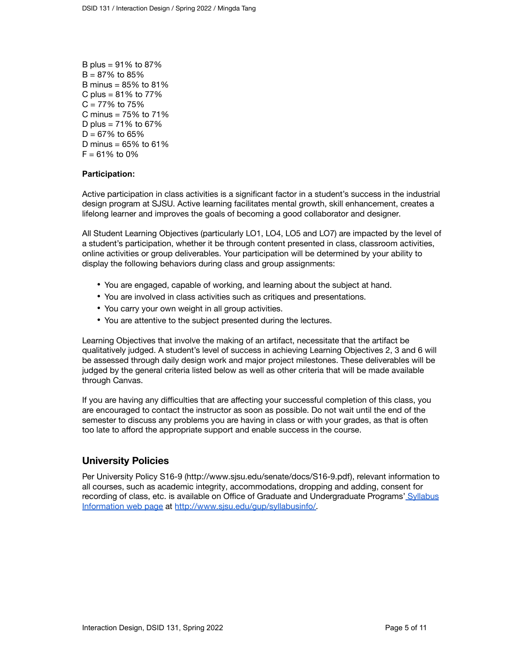B plus = 91% to 87%  $B = 87\%$  to 85% B minus =  $85\%$  to  $81\%$ C plus =  $81\%$  to  $77\%$  $C = 77\%$  to 75% C minus = 75% to 71% D plus =  $71\%$  to 67%  $D = 67\%$  to 65% D minus =  $65%$  to  $61%$  $F = 61\%$  to 0%

### **Participation:**

Active participation in class activities is a significant factor in a student's success in the industrial design program at SJSU. Active learning facilitates mental growth, skill enhancement, creates a lifelong learner and improves the goals of becoming a good collaborator and designer.

All Student Learning Objectives (particularly LO1, LO4, LO5 and LO7) are impacted by the level of a student's participation, whether it be through content presented in class, classroom activities, online activities or group deliverables. Your participation will be determined by your ability to display the following behaviors during class and group assignments:

- You are engaged, capable of working, and learning about the subject at hand.
- You are involved in class activities such as critiques and presentations.
- You carry your own weight in all group activities.
- You are attentive to the subject presented during the lectures.

Learning Objectives that involve the making of an artifact, necessitate that the artifact be qualitatively judged. A student's level of success in achieving Learning Objectives 2, 3 and 6 will be assessed through daily design work and major project milestones. These deliverables will be judged by the general criteria listed below as well as other criteria that will be made available through Canvas.

If you are having any difficulties that are affecting your successful completion of this class, you are encouraged to contact the instructor as soon as possible. Do not wait until the end of the semester to discuss any problems you are having in class or with your grades, as that is often too late to afford the appropriate support and enable success in the course.

## **University Policies**

Per University Policy S16-9 (http://www.sjsu.edu/senate/docs/S16-9.pdf), relevant information to all courses, such as academic integrity, accommodations, dropping and adding, consent for recording of class, etc. is available on Office of Graduate and Undergraduate Programs' [Syllabus](http://www.sjsu.edu/gup/syllabusinfo/) [Information](http://www.sjsu.edu/gup/syllabusinfo/) web page at [http://www.sjsu.edu/gup/syllabusinfo/.](http://www.sjsu.edu/gup/syllabusinfo/)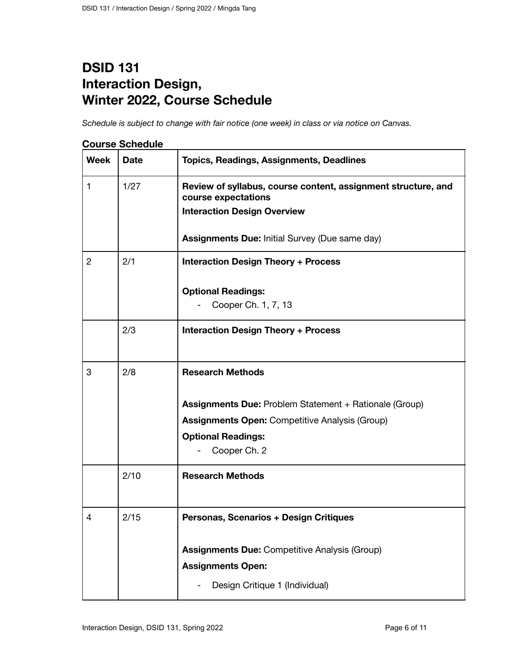# **DSID 131 Interaction Design, Winter 2022, Course Schedule**

*Schedule is subject to change with fair notice (one week) in class or via notice on Canvas.*

| <b>Week</b>    | <b>Date</b> | <b>Topics, Readings, Assignments, Deadlines</b>                                                                            |
|----------------|-------------|----------------------------------------------------------------------------------------------------------------------------|
| 1              | 1/27        | Review of syllabus, course content, assignment structure, and<br>course expectations<br><b>Interaction Design Overview</b> |
|                |             | <b>Assignments Due: Initial Survey (Due same day)</b>                                                                      |
| $\overline{c}$ | 2/1         | <b>Interaction Design Theory + Process</b>                                                                                 |
|                |             | <b>Optional Readings:</b>                                                                                                  |
|                |             | Cooper Ch. 1, 7, 13                                                                                                        |
|                | 2/3         | <b>Interaction Design Theory + Process</b>                                                                                 |
|                |             |                                                                                                                            |
| 3              | 2/8         | <b>Research Methods</b>                                                                                                    |
|                |             | <b>Assignments Due: Problem Statement + Rationale (Group)</b>                                                              |
|                |             | <b>Assignments Open: Competitive Analysis (Group)</b>                                                                      |
|                |             | <b>Optional Readings:</b>                                                                                                  |
|                |             | Cooper Ch. 2                                                                                                               |
|                | 2/10        | <b>Research Methods</b>                                                                                                    |
| 4              | 2/15        | Personas, Scenarios + Design Critiques                                                                                     |
|                |             | <b>Assignments Due: Competitive Analysis (Group)</b>                                                                       |
|                |             | <b>Assignments Open:</b>                                                                                                   |
|                |             | Design Critique 1 (Individual)                                                                                             |
|                |             |                                                                                                                            |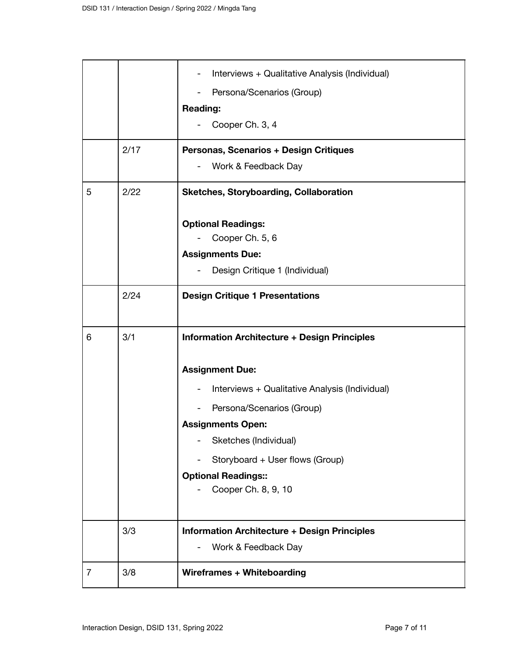|   | 2/17 | Interviews + Qualitative Analysis (Individual)<br>Persona/Scenarios (Group)<br><b>Reading:</b><br>Cooper Ch. 3, 4<br>Personas, Scenarios + Design Critiques                                                                                                                                               |
|---|------|-----------------------------------------------------------------------------------------------------------------------------------------------------------------------------------------------------------------------------------------------------------------------------------------------------------|
| 5 | 2/22 | Work & Feedback Day<br><b>Sketches, Storyboarding, Collaboration</b><br><b>Optional Readings:</b><br>Cooper Ch. 5, 6<br><b>Assignments Due:</b><br>Design Critique 1 (Individual)                                                                                                                         |
|   | 2/24 | <b>Design Critique 1 Presentations</b>                                                                                                                                                                                                                                                                    |
| 6 | 3/1  | <b>Information Architecture + Design Principles</b><br><b>Assignment Due:</b><br>Interviews + Qualitative Analysis (Individual)<br>Persona/Scenarios (Group)<br><b>Assignments Open:</b><br>Sketches (Individual)<br>Storyboard + User flows (Group)<br><b>Optional Readings::</b><br>Cooper Ch. 8, 9, 10 |
|   | 3/3  | <b>Information Architecture + Design Principles</b><br>Work & Feedback Day                                                                                                                                                                                                                                |
| 7 | 3/8  | <b>Wireframes + Whiteboarding</b>                                                                                                                                                                                                                                                                         |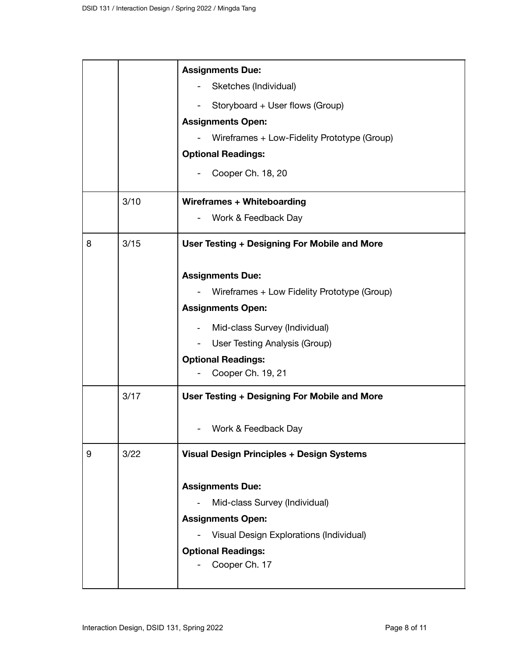|   |      | <b>Assignments Due:</b>                          |
|---|------|--------------------------------------------------|
|   |      | Sketches (Individual)                            |
|   |      | Storyboard + User flows (Group)                  |
|   |      | <b>Assignments Open:</b>                         |
|   |      | Wireframes + Low-Fidelity Prototype (Group)      |
|   |      | <b>Optional Readings:</b>                        |
|   |      | Cooper Ch. 18, 20                                |
|   | 3/10 | <b>Wireframes + Whiteboarding</b>                |
|   |      | Work & Feedback Day                              |
| 8 | 3/15 | User Testing + Designing For Mobile and More     |
|   |      | <b>Assignments Due:</b>                          |
|   |      | Wireframes + Low Fidelity Prototype (Group)      |
|   |      | <b>Assignments Open:</b>                         |
|   |      | Mid-class Survey (Individual)                    |
|   |      | User Testing Analysis (Group)                    |
|   |      | <b>Optional Readings:</b>                        |
|   |      | Cooper Ch. 19, 21                                |
|   | 3/17 | User Testing + Designing For Mobile and More     |
|   |      | Work & Feedback Day                              |
| 9 | 3/22 | <b>Visual Design Principles + Design Systems</b> |
|   |      | <b>Assignments Due:</b>                          |
|   |      | Mid-class Survey (Individual)                    |
|   |      | <b>Assignments Open:</b>                         |
|   |      | Visual Design Explorations (Individual)          |
|   |      | <b>Optional Readings:</b>                        |
|   |      | Cooper Ch. 17                                    |
|   |      |                                                  |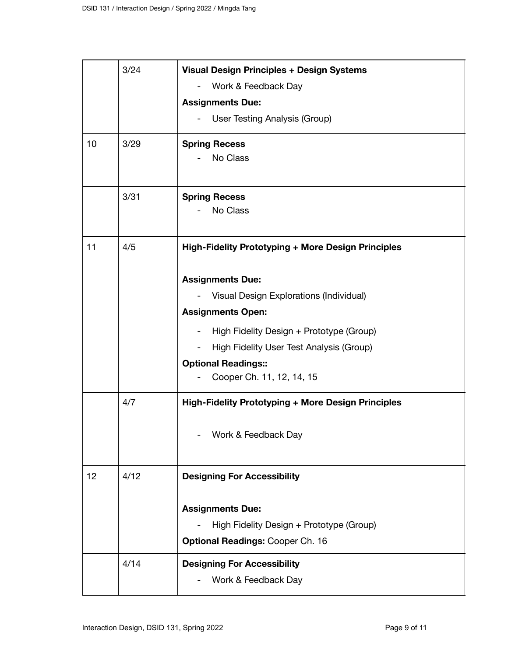|    | 3/24 | <b>Visual Design Principles + Design Systems</b>          |
|----|------|-----------------------------------------------------------|
|    |      | Work & Feedback Day                                       |
|    |      | <b>Assignments Due:</b>                                   |
|    |      | User Testing Analysis (Group)                             |
| 10 | 3/29 | <b>Spring Recess</b>                                      |
|    |      | No Class                                                  |
|    | 3/31 | <b>Spring Recess</b>                                      |
|    |      | No Class                                                  |
| 11 | 4/5  | <b>High-Fidelity Prototyping + More Design Principles</b> |
|    |      | <b>Assignments Due:</b>                                   |
|    |      | Visual Design Explorations (Individual)                   |
|    |      | <b>Assignments Open:</b>                                  |
|    |      | High Fidelity Design + Prototype (Group)                  |
|    |      | High Fidelity User Test Analysis (Group)                  |
|    |      | <b>Optional Readings::</b>                                |
|    |      | Cooper Ch. 11, 12, 14, 15                                 |
|    | 4/7  | <b>High-Fidelity Prototyping + More Design Principles</b> |
|    |      | Work & Feedback Day                                       |
| 12 | 4/12 | <b>Designing For Accessibility</b>                        |
|    |      | <b>Assignments Due:</b>                                   |
|    |      | High Fidelity Design + Prototype (Group)                  |
|    |      | <b>Optional Readings: Cooper Ch. 16</b>                   |
|    | 4/14 | <b>Designing For Accessibility</b>                        |
|    |      | Work & Feedback Day                                       |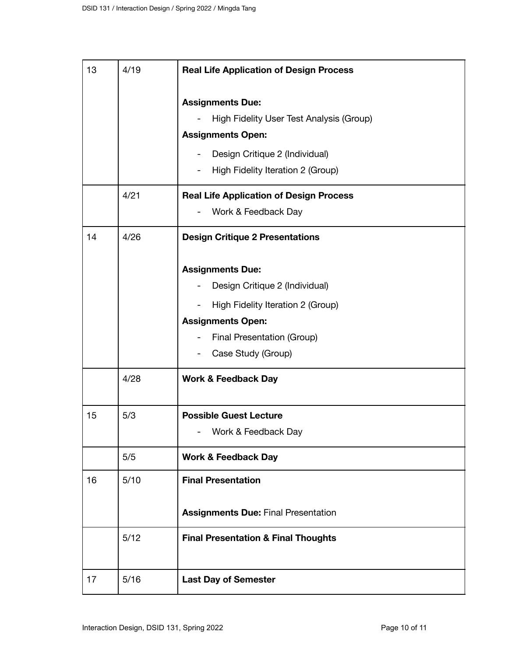| 13 | 4/19 | <b>Real Life Application of Design Process</b>                |
|----|------|---------------------------------------------------------------|
|    |      | <b>Assignments Due:</b>                                       |
|    |      | High Fidelity User Test Analysis (Group)                      |
|    |      | <b>Assignments Open:</b>                                      |
|    |      | Design Critique 2 (Individual)                                |
|    |      | High Fidelity Iteration 2 (Group)<br>$\overline{\phantom{a}}$ |
|    | 4/21 | <b>Real Life Application of Design Process</b>                |
|    |      | Work & Feedback Day                                           |
| 14 | 4/26 | <b>Design Critique 2 Presentations</b>                        |
|    |      | <b>Assignments Due:</b>                                       |
|    |      | Design Critique 2 (Individual)                                |
|    |      | High Fidelity Iteration 2 (Group)                             |
|    |      | <b>Assignments Open:</b>                                      |
|    |      | Final Presentation (Group)                                    |
|    |      | Case Study (Group)                                            |
|    | 4/28 | <b>Work &amp; Feedback Day</b>                                |
| 15 | 5/3  | <b>Possible Guest Lecture</b>                                 |
|    |      | Work & Feedback Day                                           |
|    | 5/5  | <b>Work &amp; Feedback Day</b>                                |
| 16 | 5/10 | <b>Final Presentation</b>                                     |
|    |      | <b>Assignments Due: Final Presentation</b>                    |
|    | 5/12 | <b>Final Presentation &amp; Final Thoughts</b>                |
| 17 | 5/16 | <b>Last Day of Semester</b>                                   |